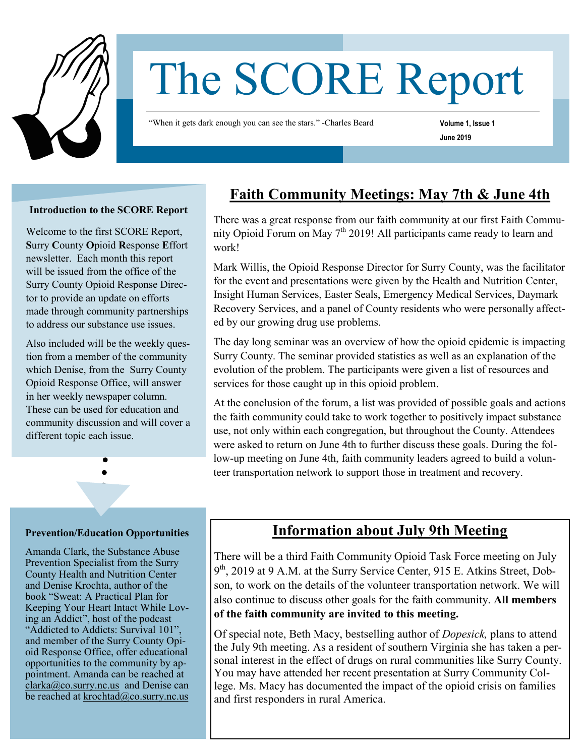

# The SCORE Report

"When it gets dark enough you can see the stars." -Charles Beard

**Volume 1, Issue 1**

**June 2019** 

#### **Introduction to the SCORE Report**

Welcome to the first SCORE Report, **S**urry **C**ounty **O**pioid **R**esponse **E**ffort newsletter. Each month this report will be issued from the office of the Surry County Opioid Response Director to provide an update on efforts made through community partnerships to address our substance use issues.

Also included will be the weekly question from a member of the community which Denise, from the Surry County Opioid Response Office, will answer in her weekly newspaper column. These can be used for education and community discussion and will cover a different topic each issue.

## **Faith Community Meetings: May 7th & June 4th**

There was a great response from our faith community at our first Faith Community Opioid Forum on May  $7<sup>th</sup> 2019!$  All participants came ready to learn and work!

Mark Willis, the Opioid Response Director for Surry County, was the facilitator for the event and presentations were given by the Health and Nutrition Center, Insight Human Services, Easter Seals, Emergency Medical Services, Daymark Recovery Services, and a panel of County residents who were personally affected by our growing drug use problems.

The day long seminar was an overview of how the opioid epidemic is impacting Surry County. The seminar provided statistics as well as an explanation of the evolution of the problem. The participants were given a list of resources and services for those caught up in this opioid problem.

At the conclusion of the forum, a list was provided of possible goals and actions the faith community could take to work together to positively impact substance use, not only within each congregation, but throughout the County. Attendees were asked to return on June 4th to further discuss these goals. During the follow-up meeting on June 4th, faith community leaders agreed to build a volunteer transportation network to support those in treatment and recovery.

#### **Prevention/Education Opportunities**

Amanda Clark, the Substance Abuse Prevention Specialist from the Surry County Health and Nutrition Center and Denise Krochta, author of the book "Sweat: A Practical Plan for Keeping Your Heart Intact While Loving an Addict", host of the podcast "Addicted to Addicts: Survival 101", and member of the Surry County Opioid Response Office, offer educational opportunities to the community by appointment. Amanda can be reached at  $clarka@co.surv.nc.us$  and Denise can be reached at [krochtad@co.surry.nc.us](mailto:krochtad@co.surry.nc.us)

### **Information about July 9th Meeting**

There will be a third Faith Community Opioid Task Force meeting on July 9<sup>th</sup>, 2019 at 9 A.M. at the Surry Service Center, 915 E. Atkins Street, Dobson, to work on the details of the volunteer transportation network. We will also continue to discuss other goals for the faith community. **All members of the faith community are invited to this meeting.** 

Of special note, Beth Macy, bestselling author of *Dopesick,* plans to attend the July 9th meeting. As a resident of southern Virginia she has taken a personal interest in the effect of drugs on rural communities like Surry County. You may have attended her recent presentation at Surry Community College. Ms. Macy has documented the impact of the opioid crisis on families and first responders in rural America.